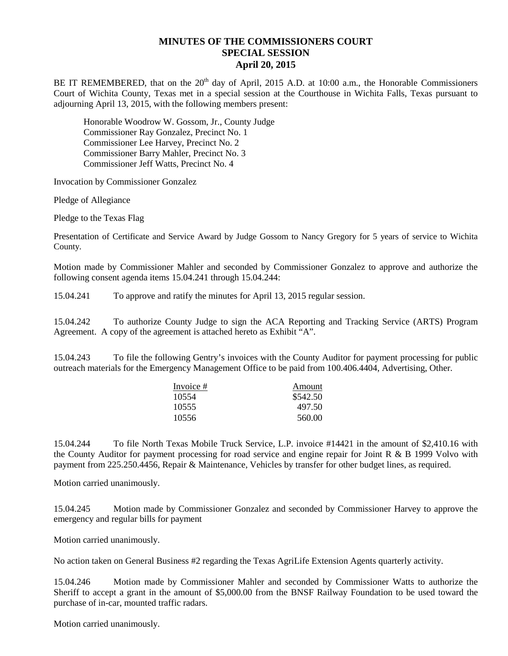## **MINUTES OF THE COMMISSIONERS COURT SPECIAL SESSION April 20, 2015**

BE IT REMEMBERED, that on the 20<sup>th</sup> day of April, 2015 A.D. at 10:00 a.m., the Honorable Commissioners Court of Wichita County, Texas met in a special session at the Courthouse in Wichita Falls, Texas pursuant to adjourning April 13, 2015, with the following members present:

Honorable Woodrow W. Gossom, Jr., County Judge Commissioner Ray Gonzalez, Precinct No. 1 Commissioner Lee Harvey, Precinct No. 2 Commissioner Barry Mahler, Precinct No. 3 Commissioner Jeff Watts, Precinct No. 4

Invocation by Commissioner Gonzalez

Pledge of Allegiance

Pledge to the Texas Flag

Presentation of Certificate and Service Award by Judge Gossom to Nancy Gregory for 5 years of service to Wichita County.

Motion made by Commissioner Mahler and seconded by Commissioner Gonzalez to approve and authorize the following consent agenda items 15.04.241 through 15.04.244:

15.04.241 To approve and ratify the minutes for April 13, 2015 regular session.

15.04.242 To authorize County Judge to sign the ACA Reporting and Tracking Service (ARTS) Program Agreement. A copy of the agreement is attached hereto as Exhibit "A".

15.04.243 To file the following Gentry's invoices with the County Auditor for payment processing for public outreach materials for the Emergency Management Office to be paid from 100.406.4404, Advertising, Other.

| Invoice # | Amount   |
|-----------|----------|
| 10554     | \$542.50 |
| 10555     | 497.50   |
| 10556     | 560.00   |

15.04.244 To file North Texas Mobile Truck Service, L.P. invoice #14421 in the amount of \$2,410.16 with the County Auditor for payment processing for road service and engine repair for Joint R & B 1999 Volvo with payment from 225.250.4456, Repair & Maintenance, Vehicles by transfer for other budget lines, as required.

Motion carried unanimously.

15.04.245 Motion made by Commissioner Gonzalez and seconded by Commissioner Harvey to approve the emergency and regular bills for payment

Motion carried unanimously.

No action taken on General Business #2 regarding the Texas AgriLife Extension Agents quarterly activity.

15.04.246 Motion made by Commissioner Mahler and seconded by Commissioner Watts to authorize the Sheriff to accept a grant in the amount of \$5,000.00 from the BNSF Railway Foundation to be used toward the purchase of in-car, mounted traffic radars.

Motion carried unanimously.